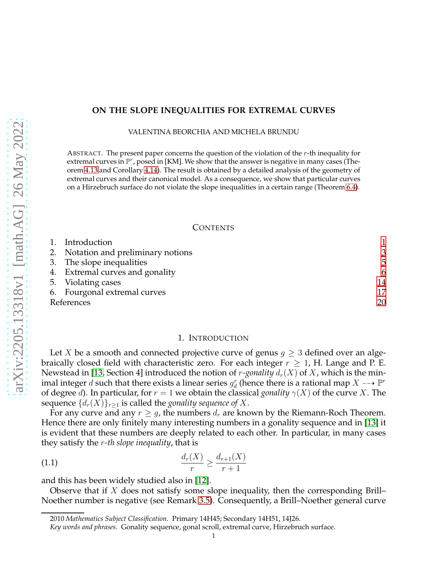# **ON THE SLOPE INEQUALITIES FOR EXTREMAL CURVES**

VALENTINA BEORCHIA AND MICHELA BRUNDU

ABSTRACT. The present paper concerns the question of the violation of the  $r$ -th inequality for extremal curves in  $\mathbb{P}^r$ , posed in [KM]. We show that the answer is negative in many cases (Theorem [4.13](#page-10-0) and Corollary [4.14\)](#page-12-0). The result is obtained by a detailed analysis of the geometry of extremal curves and their canonical model. As a consequence, we show that particular curves on a Hirzebruch surface do not violate the slope inequalities in a certain range (Theorem [6.4\)](#page-17-0).

### **CONTENTS**

| 1. Introduction                     |    |
|-------------------------------------|----|
| 2. Notation and preliminary notions | 3  |
| 3. The slope inequalities           | 5  |
| 4. Extremal curves and gonality     | 6  |
| 5. Violating cases                  | 14 |
| 6. Fourgonal extremal curves        | 17 |
| References                          | 20 |

#### 1. INTRODUCTION

<span id="page-0-0"></span>Let X be a smooth and connected projective curve of genus  $g \geq 3$  defined over an algebraically closed field with characteristic zero. For each integer  $r \geq 1$ , H. Lange and P. E. Newstead in [\[13,](#page-20-0) Section 4] introduced the notion of *r*-*gonality*  $d_r(X)$  of X, which is the minimal integer  $d$  such that there exists a linear series  $g^r_d$  (hence there is a rational map  $X \dashrightarrow \mathbb P^r$ of degree d). In particular, for  $r = 1$  we obtain the classical *gonality*  $\gamma(X)$  of the curve X. The sequence  $\{d_r(X)\}_{r\geq 1}$  is called the *gonality sequence of* X.

For any curve and any  $r \geq g$ , the numbers  $d_r$  are known by the Riemann-Roch Theorem. Hence there are only finitely many interesting numbers in a gonality sequence and in [\[13\]](#page-20-0) it is evident that these numbers are deeply related to each other. In particular, in many cases they satisfy the r*-th slope inequality*, that is

(1.1) 
$$
\frac{d_r(X)}{r} \ge \frac{d_{r+1}(X)}{r+1}
$$

and this has been widely studied also in [\[12\]](#page-20-1).

Observe that if  $X$  does not satisfy some slope inequality, then the corresponding Brill– Noether number is negative (see Remark [3.5\)](#page-4-1). Consequently, a Brill–Noether general curve

<sup>2010</sup> *Mathematics Subject Classification.* Primary 14H45; Secondary 14H51, 14J26.

*Key words and phrases.* Gonality sequence, gonal scroll, extremal curve, Hirzebruch surface.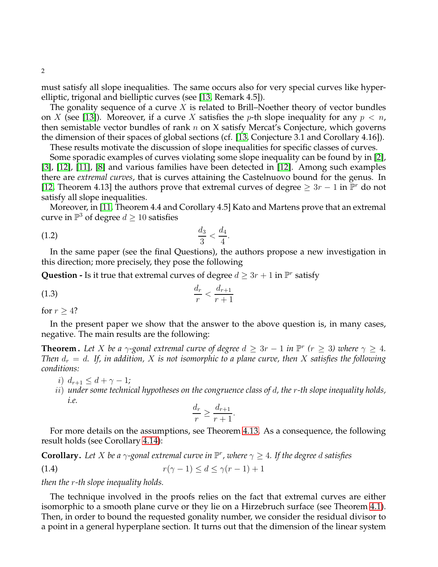must satisfy all slope inequalities. The same occurs also for very special curves like hyperelliptic, trigonal and bielliptic curves (see [\[13,](#page-20-0) Remark 4.5]).

The gonality sequence of a curve  $X$  is related to Brill–Noether theory of vector bundles on X (see [\[13\]](#page-20-0)). Moreover, if a curve X satisfies the p-th slope inequality for any  $p < n$ , then semistable vector bundles of rank  $n$  on  $X$  satisfy Mercat's Conjecture, which governs the dimension of their spaces of global sections (cf. [\[13,](#page-20-0) Conjecture 3.1 and Corollary 4.16]).

These results motivate the discussion of slope inequalities for specific classes of curves.

Some sporadic examples of curves violating some slope inequality can be found by in [\[2\]](#page-19-1), [\[3\]](#page-19-2), [\[12\]](#page-20-1), [\[11\]](#page-19-3), [\[8\]](#page-19-4) and various families have been detected in [\[12\]](#page-20-1). Among such examples there are *extremal curves*, that is curves attaining the Castelnuovo bound for the genus. In [\[12,](#page-20-1) Theorem 4.13] the authors prove that extremal curves of degree  $\geq 3r - 1$  in  $\mathbb{P}^r$  do not satisfy all slope inequalities.

Moreover, in [\[11,](#page-19-3) Theorem 4.4 and Corollary 4.5] Kato and Martens prove that an extremal curve in  $\mathbb{P}^3$  of degree  $d \geq 10$  satisfies

<span id="page-1-0"></span>(1.2) 
$$
\frac{d_3}{3} < \frac{d_4}{4}.
$$

In the same paper (see the final Questions), the authors propose a new investigation in this direction; more precisely, they pose the following

**Question -** Is it true that extremal curves of degree  $d \geq 3r + 1$  in  $\mathbb{P}^r$  satisfy

$$
\frac{d_r}{r} < \frac{d_{r+1}}{r+1}
$$

for  $r \geq 4$ ?

In the present paper we show that the answer to the above question is, in many cases, negative. The main results are the following:

**Theorem.** Let X be a  $\gamma$ -gonal extremal curve of degree  $d \geq 3r - 1$  in  $\mathbb{P}^r$  ( $r \geq 3$ ) where  $\gamma \geq 4$ *. Then*  $d_r = d$ . If, in addition, X is not isomorphic to a plane curve, then X satisfies the following *conditions:*

- i)  $d_{r+1} \leq d + \gamma 1;$
- ii) *under some technical hypotheses on the congruence class of* d*, the* r*-th slope inequality holds, i.e.*

$$
\frac{d_r}{r} \ge \frac{d_{r+1}}{r+1}.
$$

For more details on the assumptions, see Theorem [4.13.](#page-10-0) As a consequence, the following result holds (see Corollary [4.14\)](#page-12-0):

**Corollary.** Let X be a  $\gamma$ -gonal extremal curve in  $\mathbb{P}^r$ , where  $\gamma \geq 4$ . If the degree d satisfies

$$
(1.4) \t\t\t r(\gamma - 1) \le d \le \gamma(r - 1) + 1
$$

*then the* r*-th slope inequality holds.*

The technique involved in the proofs relies on the fact that extremal curves are either isomorphic to a smooth plane curve or they lie on a Hirzebruch surface (see Theorem [4.1\)](#page-5-1). Then, in order to bound the requested gonality number, we consider the residual divisor to a point in a general hyperplane section. It turns out that the dimension of the linear system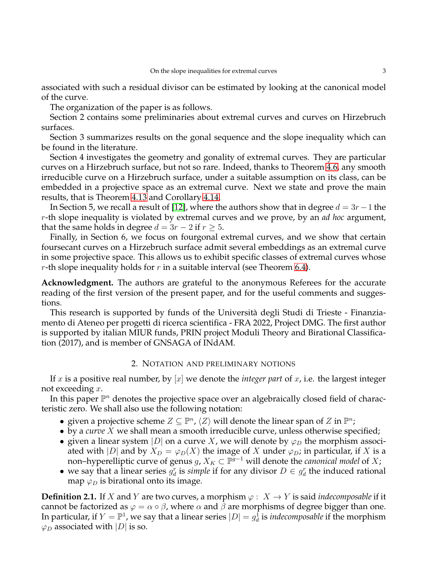associated with such a residual divisor can be estimated by looking at the canonical model of the curve.

The organization of the paper is as follows.

Section 2 contains some preliminaries about extremal curves and curves on Hirzebruch surfaces.

Section 3 summarizes results on the gonal sequence and the slope inequality which can be found in the literature.

Section 4 investigates the geometry and gonality of extremal curves. They are particular curves on a Hirzebruch surface, but not so rare. Indeed, thanks to Theorem [4.6,](#page-7-0) any smooth irreducible curve on a Hirzebruch surface, under a suitable assumption on its class, can be embedded in a projective space as an extremal curve. Next we state and prove the main results, that is Theorem [4.13](#page-10-0) and Corollary [4.14.](#page-12-0)

In Section 5, we recall a result of [\[12\]](#page-20-1), where the authors show that in degree  $d = 3r - 1$  the r-th slope inequality is violated by extremal curves and we prove, by an *ad hoc* argument, that the same holds in degree  $d = 3r - 2$  if  $r \geq 5$ .

Finally, in Section 6, we focus on fourgonal extremal curves, and we show that certain foursecant curves on a Hirzebruch surface admit several embeddings as an extremal curve in some projective space. This allows us to exhibit specific classes of extremal curves whose r-th slope inequality holds for r in a suitable interval (see Theorem [6.4\)](#page-17-0).

**Acknowledgment.** The authors are grateful to the anonymous Referees for the accurate reading of the first version of the present paper, and for the useful comments and suggestions.

This research is supported by funds of the Università degli Studi di Trieste - Finanziamento di Ateneo per progetti di ricerca scientifica - FRA 2022, Project DMG. The first author is supported by italian MIUR funds, PRIN project Moduli Theory and Birational Classification (2017), and is member of GNSAGA of INdAM.

# 2. NOTATION AND PRELIMINARY NOTIONS

<span id="page-2-0"></span>If x is a positive real number, by  $[x]$  we denote the *integer part* of x, i.e. the largest integer not exceeding x.

In this paper  $\mathbb{P}^n$  denotes the projective space over an algebraically closed field of characteristic zero. We shall also use the following notation:

- given a projective scheme  $Z \subseteq \mathbb{P}^n$ ,  $\langle Z \rangle$  will denote the linear span of  $Z$  in  $\mathbb{P}^n$ ;
- by a *curve* X we shall mean a smooth irreducible curve, unless otherwise specified;
- given a linear system |D| on a curve X, we will denote by  $\varphi_D$  the morphism associated with |D| and by  $X_D = \varphi_D(X)$  the image of X under  $\varphi_D$ ; in particular, if X is a non–hyperelliptic curve of genus  $g$ ,  $X_K\subset \mathbb P^{g-1}$  will denote the *canonical model* of  $X;$
- we say that a linear series  $g_d^r$  is *simple* if for any divisor  $D \in g_d^r$  the induced rational map  $\varphi_D$  is birational onto its image.

**Definition 2.1.** If X and Y are two curves, a morphism  $\varphi$  :  $X \to Y$  is said *indecomposable* if it cannot be factorized as  $\varphi = \alpha \circ \beta$ , where  $\alpha$  and  $\beta$  are morphisms of degree bigger than one. In particular, if  $Y=\mathbb{P}^1$ , we say that a linear series  $|D|=g_d^{\hat{1}}$  is *indecomposable* if the morphism  $\varphi_D$  associated with  $|D|$  is so.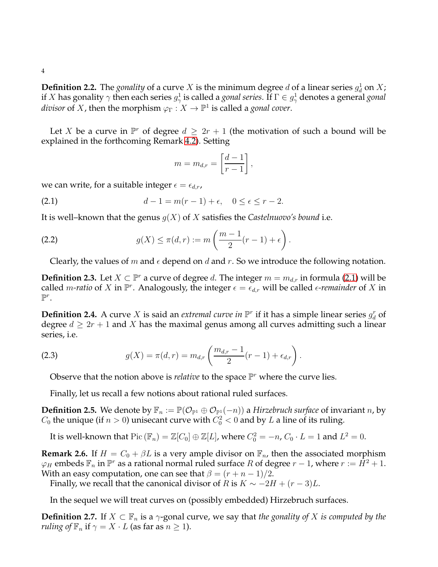4

**Definition 2.2.** The *gonality* of a curve X is the minimum degree d of a linear series  $g_d^1$  on X; if  $X$  has gonality  $\gamma$  then each series  $g_\gamma^1$  is called a *gonal series*. If  $\Gamma\in g_\gamma^1$  denotes a general *gonal divisor* of X, then the morphism  $\varphi_{\Gamma}: X \to \mathbb{P}^1$  is called a *gonal cover*.

Let X be a curve in  $\mathbb{P}^r$  of degree  $d \geq 2r + 1$  (the motivation of such a bound will be explained in the forthcoming Remark [4.2\)](#page-5-2). Setting

<span id="page-3-1"></span><span id="page-3-0"></span>
$$
m = m_{d,r} = \left[\frac{d-1}{r-1}\right],
$$

we can write, for a suitable integer  $\epsilon = \epsilon_{d,r}$ ,

(2.1) 
$$
d - 1 = m(r - 1) + \epsilon, \quad 0 \le \epsilon \le r - 2.
$$

It is well–known that the genus  $q(X)$  of X satisfies the *Castelnuovo's bound* i.e.

(2.2) 
$$
g(X) \leq \pi(d, r) := m\left(\frac{m-1}{2}(r-1) + \epsilon\right).
$$

Clearly, the values of m and  $\epsilon$  depend on d and r. So we introduce the following notation.

**Definition 2.3.** Let  $X \subset \mathbb{P}^r$  a curve of degree d. The integer  $m = m_{d,r}$  in formula [\(2.1\)](#page-3-0) will be called *m-ratio* of X in  $\mathbb{P}^r$ . Analogously, the integer  $\epsilon = \epsilon_{d,r}$  will be called  $\epsilon$ -remainder of X in  $\mathbb{P}^r$ .

**Definition 2.4.** A curve X is said an *extremal curve in*  $\mathbb{P}^r$  if it has a simple linear series  $g_d^r$  of degree  $d \geq 2r + 1$  and X has the maximal genus among all curves admitting such a linear series, i.e.

(2.3) 
$$
g(X) = \pi(d, r) = m_{d,r} \left( \frac{m_{d,r} - 1}{2} (r - 1) + \epsilon_{d,r} \right).
$$

<span id="page-3-4"></span>Observe that the notion above is *relative* to the space  $\mathbb{P}^r$  where the curve lies.

Finally, let us recall a few notions about rational ruled surfaces.

**Definition 2.5.** We denote by  $\mathbb{F}_n := \mathbb{P}(\mathcal{O}_{\mathbb{P}^1} \oplus \mathcal{O}_{\mathbb{P}^1}(-n))$  a *Hirzebruch surface* of invariant *n*, by  $C_0$  the unique (if  $n > 0$ ) unisecant curve with  $C_0^2 < 0$  and by  $L$  a line of its ruling.

It is well-known that  $Pic(\mathbb{F}_n) = \mathbb{Z}[C_0] \oplus \mathbb{Z}[L]$ , where  $C_0^2 = -n$ ,  $C_0 \cdot L = 1$  and  $L^2 = 0$ .

<span id="page-3-3"></span>**Remark 2.6.** If  $H = C_0 + \beta L$  is a very ample divisor on  $\mathbb{F}_n$ , then the associated morphism  $\varphi_H$  embeds  $\mathbb{F}_n$  in  $\mathbb{P}^r$  as a rational normal ruled surface  $R$  of degree  $r-1$ , where  $r:=\dot{H}^2+1$ . With an easy computation, one can see that  $\beta = (r + n - 1)/2$ .

Finally, we recall that the canonical divisor of R is  $K \sim -2H + (r-3)L$ .

In the sequel we will treat curves on (possibly embedded) Hirzebruch surfaces.

<span id="page-3-2"></span>**Definition 2.7.** If  $X \subset \mathbb{F}_n$  is a  $\gamma$ -gonal curve, we say that *the gonality of* X *is computed by the ruling of*  $\mathbb{F}_n$  if  $\gamma = X \cdot L$  (as far as  $n \geq 1$ ).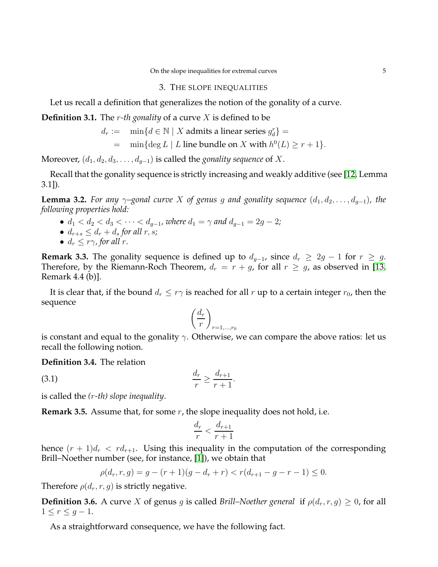#### 3. THE SLOPE INEQUALITIES

<span id="page-4-0"></span>Let us recall a definition that generalizes the notion of the gonality of a curve.

**Definition 3.1.** The r*-th gonality* of a curve X is defined to be

$$
d_r := \min\{d \in \mathbb{N} \mid X \text{ admits a linear series } g_d^r\} =
$$

$$
= \min\{\deg L \mid L \text{ line bundle on } X \text{ with } h^0(L) \ge r+1\}.
$$

Moreover,  $(d_1, d_2, d_3, \ldots, d_{q-1})$  is called the *gonality sequence* of X.

Recall that the gonality sequence is strictly increasing and weakly additive (see [\[12,](#page-20-1) Lemma 3.1]).

<span id="page-4-3"></span>**Lemma 3.2.** *For any*  $\gamma$ –gonal curve X of genus g and gonality sequence  $(d_1, d_2, \ldots, d_{q-1})$ , the *following properties hold:*

- $d_1 < d_2 < d_3 < \cdots < d_{g-1}$ , where  $d_1 = \gamma$  and  $d_{g-1} = 2g 2$ ;
- $d_{r+s} \leq d_r + d_s$  *for all r, s;*
- $d_r \leq r\gamma$ , for all r.

<span id="page-4-2"></span>**Remark 3.3.** The gonality sequence is defined up to  $d_{q-1}$ , since  $d_r \geq 2g - 1$  for  $r \geq g$ . Therefore, by the Riemann-Roch Theorem,  $d_r = r + g$ , for all  $r \geq g$ , as observed in [\[13,](#page-20-0) Remark 4.4 (b)].

It is clear that, if the bound  $d_r \leq r\gamma$  is reached for all r up to a certain integer  $r_0$ , then the sequence

$$
\left(\frac{d_r}{r}\right)_{r=1,\dots,r_0}
$$

is constant and equal to the gonality  $\gamma$ . Otherwise, we can compare the above ratios: let us recall the following notion.

.

**Definition 3.4.** The relation

$$
\frac{d_r}{r} \ge \frac{d_{r+1}}{r+1}
$$

is called the *(*r*-th) slope inequality*.

<span id="page-4-1"></span>**Remark 3.5.** Assume that, for some r, the slope inequality does not hold, i.e.

$$
\frac{d_r}{r} < \frac{d_{r+1}}{r+1}
$$

hence  $(r + 1)d_r < rd_{r+1}$ . Using this inequality in the computation of the corresponding Brill–Noether number (see, for instance, [\[1\]](#page-19-5)), we obtain that

$$
\rho(d_r, r, g) = g - (r + 1)(g - d_r + r) < r(d_{r+1} - g - r - 1) \leq 0.
$$

Therefore  $\rho(d_r, r, g)$  is strictly negative.

**Definition 3.6.** A curve X of genus g is called *Brill–Noether general* if  $\rho(d_r, r, g) \geq 0$ , for all  $1 \leq r \leq g-1$ .

As a straightforward consequence, we have the following fact.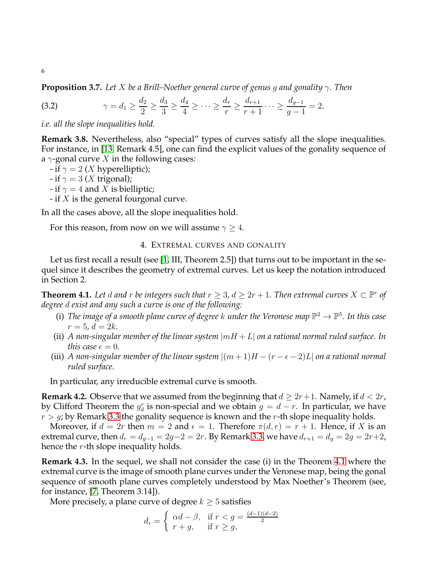**Proposition 3.7.** *Let* X *be a Brill–Noether general curve of genus* g *and gonality* γ*. Then*

(3.2) 
$$
\gamma = d_1 \ge \frac{d_2}{2} \ge \frac{d_3}{3} \ge \frac{d_4}{4} \ge \cdots \ge \frac{d_r}{r} \ge \frac{d_{r+1}}{r+1} \cdots \ge \frac{d_{g-1}}{g-1} = 2,
$$

*i.e. all the slope inequalities hold.*

<span id="page-5-4"></span>**Remark 3.8.** Nevertheless, also "special" types of curves satisfy all the slope inequalities. For instance, in [\[13,](#page-20-0) Remark 4.5], one can find the explicit values of the gonality sequence of a  $\gamma$ -gonal curve X in the following cases:

- if  $\gamma = 2$  (*X* hyperelliptic);
- if  $\gamma = 3$  (X trigonal);
- if  $\gamma = 4$  and X is bielliptic;
- if  $X$  is the general fourgonal curve.

In all the cases above, all the slope inequalities hold.

<span id="page-5-0"></span>For this reason, from now on we will assume  $\gamma \geq 4$ .

# 4. EXTREMAL CURVES AND GONALITY

Let us first recall a result (see [\[1,](#page-19-5) III, Theorem 2.5]) that turns out to be important in the sequel since it describes the geometry of extremal curves. Let us keep the notation introduced in Section 2.

<span id="page-5-1"></span>**Theorem 4.1.** Let d and r be integers such that  $r \geq 3$ ,  $d \geq 2r + 1$ . Then extremal curves  $X \subset \mathbb{P}^r$  of *degree* d *exist and any such a curve is one of the following:*

- (i) The image of a smooth plane curve of degree k under the Veronese map  $\mathbb{P}^2 \to \mathbb{P}^5$ . In this case  $r = 5, d = 2k.$
- (ii) A non-singular member of the linear system  $|mH + L|$  on a rational normal ruled surface. In *this case*  $\epsilon = 0$ *.*
- (iii) *A* non-singular member of the linear system  $|(m + 1)H (r \epsilon 2)L|$  on a rational normal *ruled surface.*

In particular, any irreducible extremal curve is smooth.

<span id="page-5-2"></span>**Remark 4.2.** Observe that we assumed from the beginning that  $d \geq 2r+1$ . Namely, if  $d < 2r$ , by Clifford Theorem the  $g_d^r$  is non-special and we obtain  $g = d - r$ . In particular, we have  $r > g$ ; by Remark [3.3](#page-4-2) the gonality sequence is known and the r-th slope inequality holds.

Moreover, if  $d = 2r$  then  $m = 2$  and  $\epsilon = 1$ . Therefore  $\pi(d, r) = r + 1$ . Hence, if X is an extremal curve, then  $d_r = d_{g-1} = 2g-2 = 2r$ . By Remark [3.3,](#page-4-2) we have  $d_{r+1} = d_g = 2g = 2r+2$ , hence the  $r$ -th slope inequality holds.

<span id="page-5-3"></span>**Remark 4.3.** In the sequel, we shall not consider the case (i) in the Theorem [4.1](#page-5-1) where the extremal curve is the image of smooth plane curves under the Veronese map, being the gonal sequence of smooth plane curves completely understood by Max Noether's Theorem (see, for instance, [\[7,](#page-19-6) Theorem 3.14]).

More precisely, a plane curve of degree  $k \geq 5$  satisfies

$$
d_r = \begin{cases} \alpha d - \beta, & \text{if } r < g = \frac{(d-1)(d-2)}{2} \\ r + g, & \text{if } r \ge g, \end{cases}
$$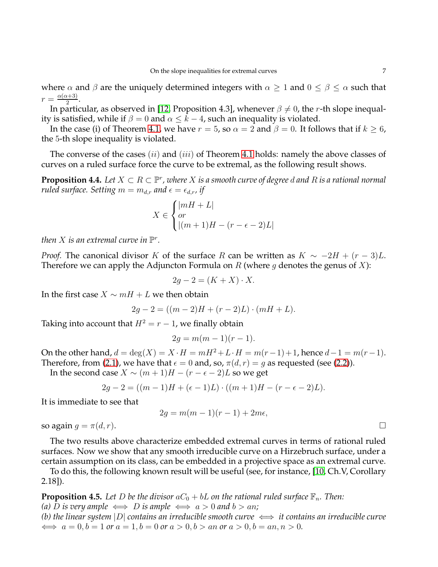where  $\alpha$  and  $\beta$  are the uniquely determined integers with  $\alpha \geq 1$  and  $0 \leq \beta \leq \alpha$  such that  $r = \frac{\alpha(\alpha+3)}{2}$  $\frac{\frac{x+3j}{2}}$ .

In particular, as observed in [\[12,](#page-20-1) Proposition 4.3], whenever  $\beta \neq 0$ , the r-th slope inequality is satisfied, while if  $\beta = 0$  and  $\alpha \leq k - 4$ , such an inequality is violated.

In the case (i) of Theorem [4.1,](#page-5-1) we have  $r = 5$ , so  $\alpha = 2$  and  $\beta = 0$ . It follows that if  $k \ge 6$ , the 5-th slope inequality is violated.

The converse of the cases  $(ii)$  and  $(iii)$  of Theorem [4.1](#page-5-1) holds: namely the above classes of curves on a ruled surface force the curve to be extremal, as the following result shows.

**Proposition 4.4.** Let  $X \subset R \subset \mathbb{P}^r$  , where  $X$  is a smooth curve of degree  $d$  and  $R$  is a rational normal *ruled surface. Setting*  $m = m_{d,r}$  *and*  $\epsilon = \epsilon_{d,r}$  *if* 

$$
X \in \begin{cases} |mH + L| \\ or \\ |(m+1)H - (r - \epsilon - 2)L| \end{cases}
$$

then  $X$  is an extremal curve in  $\mathbb{P}^r$ .

*Proof.* The canonical divisor K of the surface R can be written as  $K \sim -2H + (r - 3)L$ . Therefore we can apply the Adjuncton Formula on R (where g denotes the genus of X):

$$
2g - 2 = (K + X) \cdot X.
$$

In the first case  $X \sim mH + L$  we then obtain

$$
2g - 2 = ((m - 2)H + (r - 2)L) \cdot (mH + L).
$$

Taking into account that  $H^2 = r - 1$ , we finally obtain

$$
2g = m(m-1)(r-1).
$$

On the other hand,  $d = \deg(X) = X \cdot H = mH^2 + L \cdot H = m(r-1) + 1$ , hence  $d-1 = m(r-1)$ . Therefore, from [\(2.1\)](#page-3-0), we have that  $\epsilon = 0$  and, so,  $\pi(d, r) = g$  as requested (see [\(2.2\)](#page-3-1)).

In the second case  $X \sim (m+1)H - (r - \epsilon - 2)L$  so we get

$$
2g - 2 = ((m - 1)H + (\epsilon - 1)L) \cdot ((m + 1)H - (r - \epsilon - 2)L).
$$

It is immediate to see that

$$
2g = m(m-1)(r-1) + 2m\epsilon,
$$

so again  $q = \pi(d, r)$ .

The two results above characterize embedded extremal curves in terms of rational ruled surfaces. Now we show that any smooth irreducible curve on a Hirzebruch surface, under a certain assumption on its class, can be embedded in a projective space as an extremal curve.

To do this, the following known result will be useful (see, for instance, [\[10,](#page-19-7) Ch.V, Corollary 2.18]).

<span id="page-6-0"></span>**Proposition 4.5.** Let D be the divisor  $aC_0 + bL$  on the rational ruled surface  $\mathbb{F}_n$ . Then: *(a) D is very ample*  $\iff$  *D is ample*  $\iff$  *a* > 0 *and b* > *an*; *(b)* the linear system |D| contains an irreducible smooth curve  $\iff$  it contains an irreducible curve

 $\iff$   $a = 0, b = 1$  or  $a = 1, b = 0$  or  $a > 0, b > an$  or  $a > 0, b = an, n > 0$ .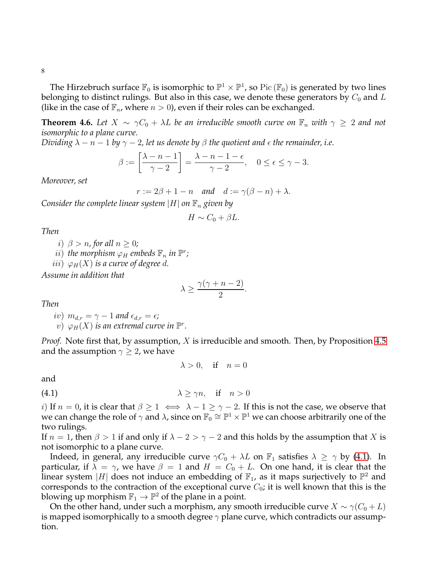8

The Hirzebruch surface  $\mathbb{F}_0$  is isomorphic to  $\mathbb{P}^1\times\mathbb{P}^1$ , so  $\mathrm{Pic}\left(\mathbb{F}_0\right)$  is generated by two lines belonging to distinct rulings. But also in this case, we denote these generators by  $C_0$  and  $L$ (like in the case of  $\mathbb{F}_n$ , where  $n > 0$ ), even if their roles can be exchanged.

<span id="page-7-0"></span>**Theorem 4.6.** Let  $X \sim \gamma C_0 + \lambda L$  be an irreducible smooth curve on  $\mathbb{F}_n$  with  $\gamma \geq 2$  and not *isomorphic to a plane curve.*

*Dividing*  $\lambda - n - 1$  *by*  $\gamma - 2$ , let us denote by  $\beta$  the quotient and  $\epsilon$  the remainder, i.e.

$$
\beta := \left[\frac{\lambda - n - 1}{\gamma - 2}\right] = \frac{\lambda - n - 1 - \epsilon}{\gamma - 2}, \quad 0 \le \epsilon \le \gamma - 3.
$$

*Moreover, set*

$$
r := 2\beta + 1 - n \quad \text{and} \quad d := \gamma(\beta - n) + \lambda.
$$

*Consider the complete linear system*  $|H|$  *on*  $\mathbb{F}_n$  *given by* 

$$
H \sim C_0 + \beta L.
$$

*Then*

*i*)  $\beta > n$ , for all  $n \geq 0$ ;  $\tilde{u}$ ) the morphism  $\varphi_H$  embeds  $\mathbb{F}_n$  in  $\mathbb{P}^r$ ;

iii)  $\varphi_H(X)$  *is a curve of degree d.* 

*Assume in addition that*

$$
\lambda \ge \frac{\gamma(\gamma + n - 2)}{2}.
$$

*Then*

iv)  $m_{d,r} = \gamma - 1$  and  $\epsilon_{d,r} = \epsilon$ *;*  $\psi)$   $\varphi$ <sub>H</sub> $(X)$  is an extremal curve in  $\mathbb{P}^r$ .

*Proof.* Note first that, by assumption, X is irreducible and smooth. Then, by Proposition [4.5](#page-6-0) and the assumption  $\gamma \geq 2$ , we have

<span id="page-7-1"></span> $\lambda > 0$ , if  $n$ 

and

(4.1) 
$$
\lambda \ge \gamma n, \quad \text{if} \quad n > 0
$$

*i*) If  $n = 0$ , it is clear that  $\beta \ge 1 \iff \lambda - 1 \ge \gamma - 2$ . If this is not the case, we observe that we can change the role of  $\gamma$  and  $\lambda$ , since on  $\mathbb{F}_0 \cong \mathbb{P}^1 \times \mathbb{P}^1$  we can choose arbitrarily one of the two rulings.

If  $n = 1$ , then  $\beta > 1$  if and only if  $\lambda - 2 > \gamma - 2$  and this holds by the assumption that X is not isomorphic to a plane curve.

Indeed, in general, any irreducible curve  $\gamma C_0 + \lambda L$  on  $\mathbb{F}_1$  satisfies  $\lambda \geq \gamma$  by [\(4.1\)](#page-7-1). In particular, if  $\lambda = \gamma$ , we have  $\beta = 1$  and  $H = C_0 + L$ . On one hand, it is clear that the linear system  $|H|$  does not induce an embedding of  $\mathbb{F}_1$ , as it maps surjectively to  $\mathbb{P}^2$  and corresponds to the contraction of the exceptional curve  $C_0$ ; it is well known that this is the blowing up morphism  $\mathbb{F}_1 \to \mathbb{P}^2$  of the plane in a point.

On the other hand, under such a morphism, any smooth irreducible curve  $X \sim \gamma(C_0 + L)$ is mapped isomorphically to a smooth degree  $\gamma$  plane curve, which contradicts our assumption.

$$
\lambda > 0
$$
 if  $n = 0$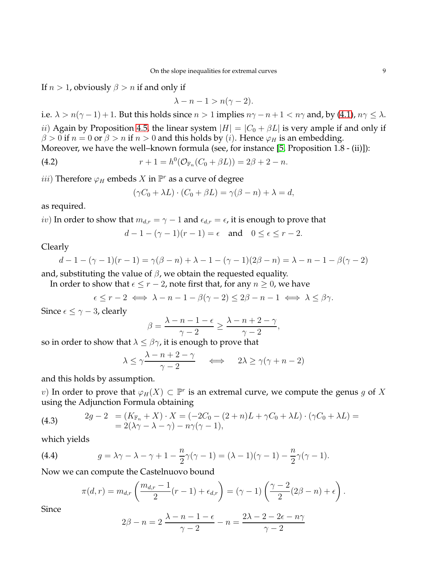If  $n > 1$ , obviously  $\beta > n$  if and only if

$$
\lambda - n - 1 > n(\gamma - 2).
$$

i.e.  $\lambda > n(\gamma - 1) + 1$ . But this holds since  $n > 1$  implies  $n\gamma - n + 1 < n\gamma$  and, by [\(4.1\)](#page-7-1),  $n\gamma \leq \lambda$ . ii) Again by Proposition [4.5,](#page-6-0) the linear system  $|H| = |C_0 + \beta L|$  is very ample if and only if

 $\beta > 0$  if  $n = 0$  or  $\beta > n$  if  $n > 0$  and this holds by (*i*). Hence  $\varphi_H$  is an embedding. Moreover, we have the well–known formula (see, for instance [\[5,](#page-19-8) Proposition 1.8 - (ii)]):

(4.2) 
$$
r + 1 = h^{0}(\mathcal{O}_{\mathbb{F}_{n}}(C_{0} + \beta L)) = 2\beta + 2 - n.
$$

 $iii)$  Therefore  $\varphi_H$  embeds  $X$  in  $\mathbb{P}^r$  as a curve of degree

<span id="page-8-1"></span>
$$
(\gamma C_0 + \lambda L) \cdot (C_0 + \beta L) = \gamma (\beta - n) + \lambda = d,
$$

as required.

*iv*) In order to show that  $m_{d,r} = \gamma - 1$  and  $\epsilon_{d,r} = \epsilon$ , it is enough to prove that

$$
d-1-(\gamma-1)(r-1)=\epsilon \quad \text{and} \quad 0\leq \epsilon \leq r-2.
$$

Clearly

$$
d - 1 - (\gamma - 1)(r - 1) = \gamma(\beta - n) + \lambda - 1 - (\gamma - 1)(2\beta - n) = \lambda - n - 1 - \beta(\gamma - 2)
$$

and, substituting the value of  $\beta$ , we obtain the requested equality.

In order to show that  $\epsilon \le r - 2$ , note first that, for any  $n \ge 0$ , we have

$$
\epsilon \le r-2 \iff \lambda - n - 1 - \beta(\gamma - 2) \le 2\beta - n - 1 \iff \lambda \le \beta\gamma.
$$

Since  $\epsilon \leq \gamma - 3$ , clearly

$$
\beta = \frac{\lambda - n - 1 - \epsilon}{\gamma - 2} \ge \frac{\lambda - n + 2 - \gamma}{\gamma - 2},
$$

so in order to show that  $\lambda \leq \beta \gamma$ , it is enough to prove that

$$
\lambda \le \gamma \frac{\lambda - n + 2 - \gamma}{\gamma - 2} \quad \iff \quad 2\lambda \ge \gamma(\gamma + n - 2)
$$

and this holds by assumption.

v) In order to prove that  $\varphi_H(X) \subset \mathbb{P}^r$  is an extremal curve, we compute the genus g of X using the Adjunction Formula obtaining

(4.3) 
$$
2g - 2 = (K_{\mathbb{F}_n} + X) \cdot X = (-2C_0 - (2+n)L + \gamma C_0 + \lambda L) \cdot (\gamma C_0 + \lambda L) =
$$

$$
= 2(\lambda \gamma - \lambda - \gamma) - n\gamma(\gamma - 1),
$$

which yields

(4.4) 
$$
g = \lambda \gamma - \lambda - \gamma + 1 - \frac{n}{2} \gamma (\gamma - 1) = (\lambda - 1)(\gamma - 1) - \frac{n}{2} \gamma (\gamma - 1).
$$

Now we can compute the Castelnuovo bound

<span id="page-8-0"></span>
$$
\pi(d,r) = m_{d,r} \left( \frac{m_{d,r} - 1}{2} (r - 1) + \epsilon_{d,r} \right) = (\gamma - 1) \left( \frac{\gamma - 2}{2} (2\beta - n) + \epsilon \right).
$$

Since

$$
2\beta - n = 2\frac{\lambda - n - 1 - \epsilon}{\gamma - 2} - n = \frac{2\lambda - 2 - 2\epsilon - n\gamma}{\gamma - 2}
$$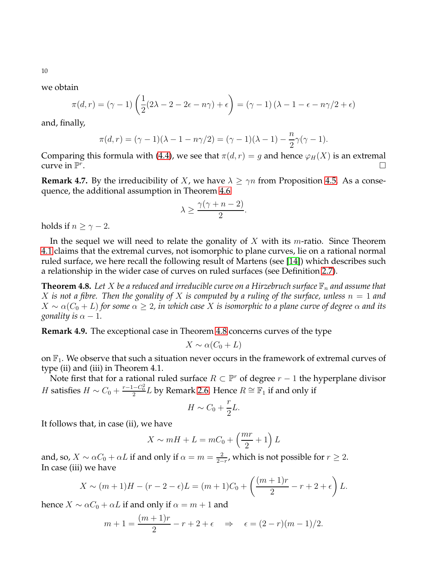we obtain

$$
\pi(d,r) = (\gamma - 1) \left( \frac{1}{2} (2\lambda - 2 - 2\epsilon - n\gamma) + \epsilon \right) = (\gamma - 1) (\lambda - 1 - \epsilon - n\gamma/2 + \epsilon)
$$

and, finally,

$$
\pi(d, r) = (\gamma - 1)(\lambda - 1 - n\gamma/2) = (\gamma - 1)(\lambda - 1) - \frac{n}{2}\gamma(\gamma - 1).
$$

Comparing this formula with [\(4.4\)](#page-8-0), we see that  $\pi(d, r) = g$  and hence  $\varphi_H(X)$  is an extremal curve in  $\mathbb{P}^r$ . The contract of the contract of the contract of  $\Box$ 

**Remark 4.7.** By the irreducibility of X, we have  $\lambda \ge \gamma n$  from Proposition [4.5.](#page-6-0) As a consequence, the additional assumption in Theorem [4.6](#page-7-0)

$$
\lambda \ge \frac{\gamma(\gamma + n - 2)}{2}.
$$

holds if  $n > \gamma - 2$ .

In the sequel we will need to relate the gonality of  $X$  with its *m*-ratio. Since Theorem [4.1](#page-5-1) claims that the extremal curves, not isomorphic to plane curves, lie on a rational normal ruled surface, we here recall the following result of Martens (see [\[14\]](#page-20-2)) which describes such a relationship in the wider case of curves on ruled surfaces (see Definition [2.7\)](#page-3-2).

<span id="page-9-0"></span>**Theorem 4.8.** Let X be a reduced and irreducible curve on a Hirzebruch surface  $\mathbb{F}_n$  and assume that X is not a fibre. Then the gonality of X is computed by a ruling of the surface, unless  $n = 1$  and  $X \sim \alpha(C_0 + L)$  for some  $\alpha \geq 2$ , in which case X is isomorphic to a plane curve of degree  $\alpha$  and its *gonality is*  $\alpha - 1$ *.* 

**Remark 4.9.** The exceptional case in Theorem [4.8](#page-9-0) concerns curves of the type

$$
X \sim \alpha (C_0 + L)
$$

on  $\mathbb{F}_1$ . We observe that such a situation never occurs in the framework of extremal curves of type (ii) and (iii) in Theorem 4.1.

Note first that for a rational ruled surface  $R \subset \mathbb{P}^r$  of degree  $r-1$  the hyperplane divisor *H* satisfies  $H \sim C_0 + \frac{r-1-C_0^2}{2}L$  by Remark [2.6.](#page-3-3) Hence  $R \cong \mathbb{F}_1$  if and only if

$$
H \sim C_0 + \frac{r}{2}L.
$$

It follows that, in case (ii), we have

$$
X \sim mH + L = mC_0 + \left(\frac{mr}{2} + 1\right)L
$$

and, so,  $X \sim \alpha C_0 + \alpha L$  if and only if  $\alpha = m = \frac{2}{2 \pi}$  $\frac{2}{2-r}$ , which is not possible for  $r \geq 2$ . In case (iii) we have

$$
X \sim (m+1)H - (r-2 - \epsilon)L = (m+1)C_0 + \left(\frac{(m+1)r}{2} - r + 2 + \epsilon\right)L.
$$

hence  $X \sim \alpha C_0 + \alpha L$  if and only if  $\alpha = m + 1$  and

$$
m + 1 = \frac{(m+1)r}{2} - r + 2 + \epsilon \implies \epsilon = (2 - r)(m - 1)/2.
$$

10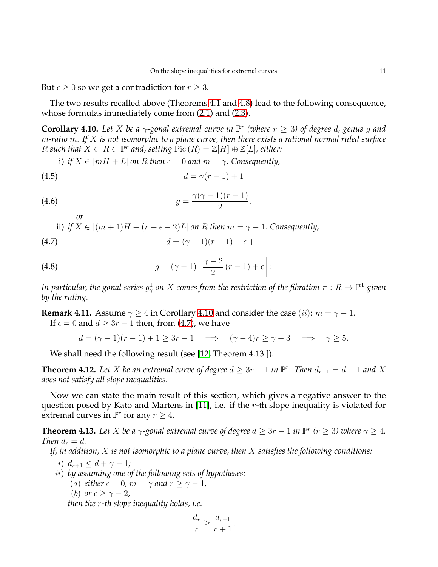But  $\epsilon \geq 0$  so we get a contradiction for  $r \geq 3$ .

The two results recalled above (Theorems [4.1](#page-5-1) and [4.8\)](#page-9-0) lead to the following consequence, whose formulas immediately come from [\(2.1\)](#page-3-0) and [\(2.3\)](#page-3-4).

<span id="page-10-1"></span>**Corollary 4.10.** Let X be a  $\gamma$ -gonal extremal curve in  $\mathbb{P}^r$  (where  $r \geq 3$ ) of degree d, genus g and m*-ratio* m*. If* X *is not isomorphic to a plane curve, then there exists a rational normal ruled surface* R such that  $X \subset R \subset \mathbb{P}^r$  and, setting  $Pic(R) = \mathbb{Z}[H] \oplus \mathbb{Z}[L]$ , either:

<span id="page-10-5"></span><span id="page-10-4"></span><span id="page-10-2"></span>.

*i*) *if*  $X \in |mH + L|$  *on* R *then*  $\epsilon = 0$  *and*  $m = \gamma$ . Consequently,

$$
(4.5) \t\t d = \gamma(r-1)+1
$$

$$
(4.6) \qquad \qquad g = \frac{\gamma(\gamma - 1)(r - 1)}{2}
$$

ii) *if*  $X \in [(m+1)H - (r - \epsilon - 2)L]$  *on* R *then*  $m = \gamma - 1$ *. Consequently,* (4.7)  $d = (\alpha - 1)(r - 1) + \epsilon + 1$ 

(4.7) 
$$
a = (\gamma - 1)(r - 1) + \epsilon + 1
$$

(4.8) 
$$
g = (\gamma - 1) \left[ \frac{\gamma - 2}{2} (r - 1) + \epsilon \right];
$$

In particular, the gonal series  $g_\gamma^1$  on  $X$  comes from the restriction of the fibration  $\pi:R\to\mathbb{P}^1$  given *by the ruling.*

**Remark 4.11.** Assume  $\gamma \ge 4$  in Corollary [4.10](#page-10-1) and consider the case (ii):  $m = \gamma - 1$ . If  $\epsilon = 0$  and  $d > 3r - 1$  then, from [\(4.7\)](#page-10-2), we have

 $d = (\gamma - 1)(r - 1) + 1 \geq 3r - 1 \implies (\gamma - 4)r \geq \gamma - 3 \implies \gamma \geq 5.$ 

We shall need the following result (see [\[12,](#page-20-1) Theorem 4.13 ]).

<span id="page-10-3"></span>**Theorem 4.12.** Let *X* be an extremal curve of degree  $d \geq 3r - 1$  in  $\mathbb{P}^r$ . Then  $d_{r-1} = d - 1$  and *X does not satisfy all slope inequalities.*

Now we can state the main result of this section, which gives a negative answer to the question posed by Kato and Martens in [\[11\]](#page-19-3), i.e. if the r-th slope inequality is violated for extremal curves in  $\mathbb{P}^r$  for any  $r \geq 4$ .

<span id="page-10-0"></span>**Theorem 4.13.** Let X be a  $\gamma$ -gonal extremal curve of degree  $d \geq 3r - 1$  in  $\mathbb{P}^r$  ( $r \geq 3$ ) where  $\gamma \geq 4$ . *Then*  $d_r = d$ .

*If, in addition,* X *is not isomorphic to a plane curve, then* X *satisfies the following conditions:*

i)  $d_{r+1} \leq d + \gamma - 1$ *;* 

*or*

- ii) *by assuming one of the following sets of hypotheses:*
	- (a) *either*  $\epsilon = 0$ *, m* =  $\gamma$  *and*  $r \geq \gamma 1$ *,*
	- (b) *or*  $\epsilon \geq \gamma 2$ ,

*then the* r*-th slope inequality holds, i.e.*

$$
\frac{d_r}{r} \ge \frac{d_{r+1}}{r+1}.
$$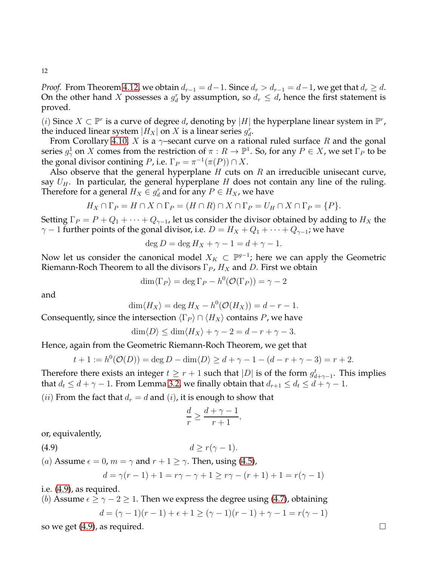*Proof.* From Theorem [4.12,](#page-10-3) we obtain  $d_{r-1} = d-1$ . Since  $d_r > d_{r-1} = d-1$ , we get that  $d_r \geq d$ . On the other hand X possesses a  $g_d^r$  by assumption, so  $d_r \leq d$ , hence the first statement is proved.

(*i*) Since *X* ⊂  $\mathbb{P}^r$  is a curve of degree *d*, denoting by |*H*| the hyperplane linear system in  $\mathbb{P}^r$ , the induced linear system  $|H_X|$  on  $X$  is a linear series  $g_d^r$ .

From Corollary [4.10,](#page-10-1) X is a  $\gamma$ -secant curve on a rational ruled surface R and the gonal series  $g^1_\gamma$  on X comes from the restriction of  $\pi: R \to \mathbb{P}^1$ . So, for any  $P \in X$ , we set  $\Gamma_P$  to be the gonal divisor contining *P*, i.e.  $\Gamma_P = \pi^{-1}(\pi(P)) \cap X$ .

Also observe that the general hyperplane  $H$  cuts on  $R$  an irreducible unisecant curve, say  $U_H$ . In particular, the general hyperplane H does not contain any line of the ruling. Therefore for a general  $H_X \in g_d^r$  and for any  $P \in H_X$ , we have

$$
H_X \cap \Gamma_P = H \cap X \cap \Gamma_P = (H \cap R) \cap X \cap \Gamma_P = U_H \cap X \cap \Gamma_P = \{P\}.
$$

Setting  $\Gamma_P = P + Q_1 + \cdots + Q_{\gamma-1}$ , let us consider the divisor obtained by adding to  $H_X$  the  $\gamma$  − 1 further points of the gonal divisor, i.e.  $D = H_X + Q_1 + \cdots + Q_{\gamma-1}$ ; we have

$$
\deg D = \deg H_X + \gamma - 1 = d + \gamma - 1.
$$

Now let us consider the canonical model  $X_K \subset \mathbb{P}^{g-1}$ ; here we can apply the Geometric Riemann-Roch Theorem to all the divisors  $\Gamma_P$ ,  $H_X$  and D. First we obtain

$$
\dim \langle \Gamma_P \rangle = \deg \Gamma_P - h^0(\mathcal{O}(\Gamma_P)) = \gamma - 2
$$

and

$$
\dim \langle H_X \rangle = \deg H_X - h^0(\mathcal{O}(H_X)) = d - r - 1.
$$

Consequently, since the intersection  $\langle \Gamma_P \rangle \cap \langle H_X \rangle$  contains P, we have

$$
\dim \langle D \rangle \le \dim \langle H_X \rangle + \gamma - 2 = d - r + \gamma - 3.
$$

Hence, again from the Geometric Riemann-Roch Theorem, we get that

$$
t + 1 := h^{0}(\mathcal{O}(D)) = \deg D - \dim \langle D \rangle \ge d + \gamma - 1 - (d - r + \gamma - 3) = r + 2.
$$

Therefore there exists an integer  $t \geq r+1$  such that  $|D|$  is of the form  $g_{d+\gamma-1}^t$ . This implies that  $d_t \leq d + \gamma - 1$ . From Lemma [3.2,](#page-4-3) we finally obtain that  $d_{r+1} \leq d_t \leq d + \gamma - 1$ .

(*ii*) From the fact that  $d_r = d$  and (*i*), it is enough to show that

<span id="page-11-0"></span>
$$
\frac{d}{r} \ge \frac{d+\gamma-1}{r+1},
$$

or, equivalently,

(4.9)  $d \ge r(\gamma - 1).$ 

(a) Assume 
$$
\epsilon = 0
$$
,  $m = \gamma$  and  $r + 1 \ge \gamma$ . Then, using (4.5),

$$
d = \gamma(r - 1) + 1 = r\gamma - \gamma + 1 \ge r\gamma - (r + 1) + 1 = r(\gamma - 1)
$$

i.e. [\(4.9\)](#page-11-0), as required.

(*b*) Assume 
$$
\epsilon \ge \gamma - 2 \ge 1
$$
. Then we express the degree using (4.7), obtaining  
\n
$$
d = (\gamma - 1)(r - 1) + \epsilon + 1 \ge (\gamma - 1)(r - 1) + \gamma - 1 = r(\gamma - 1)
$$

so we get  $(4.9)$ , as required.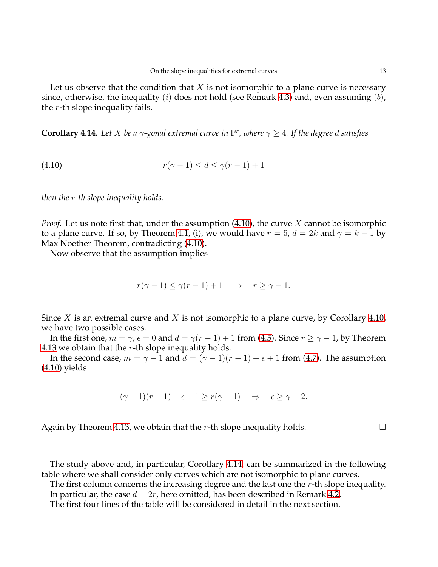Let us observe that the condition that  $X$  is not isomorphic to a plane curve is necessary since, otherwise, the inequality  $(i)$  does not hold (see Remark [4.3\)](#page-5-3) and, even assuming  $(b)$ , the  $r$ -th slope inequality fails.

<span id="page-12-0"></span>**Corollary 4.14.** Let *X* be a  $\gamma$ -gonal extremal curve in  $\mathbb{P}^r$ , where  $\gamma \geq 4$ . If the degree d satisfies

<span id="page-12-1"></span>(4.10) 
$$
r(\gamma - 1) \leq d \leq \gamma(r - 1) + 1
$$

*then the* r*-th slope inequality holds.*

*Proof.* Let us note first that, under the assumption [\(4.10\)](#page-12-1), the curve X cannot be isomorphic to a plane curve. If so, by Theorem [4.1,](#page-5-1) (i), we would have  $r = 5$ ,  $d = 2k$  and  $\gamma = k - 1$  by Max Noether Theorem, contradicting [\(4.10\)](#page-12-1).

Now observe that the assumption implies

$$
r(\gamma - 1) \le \gamma(r - 1) + 1 \quad \Rightarrow \quad r \ge \gamma - 1.
$$

Since X is an extremal curve and X is not isomorphic to a plane curve, by Corollary [4.10,](#page-10-1) we have two possible cases.

In the first one,  $m = \gamma$ ,  $\epsilon = 0$  and  $d = \gamma(r - 1) + 1$  from [\(4.5\)](#page-10-4). Since  $r \ge \gamma - 1$ , by Theorem [4.13](#page-10-0) we obtain that the  $r$ -th slope inequality holds.

In the second case,  $m = \gamma - 1$  and  $d = (\gamma - 1)(r - 1) + \epsilon + 1$  from [\(4.7\)](#page-10-2). The assumption [\(4.10\)](#page-12-1) yields

$$
(\gamma - 1)(r - 1) + \epsilon + 1 \ge r(\gamma - 1) \quad \Rightarrow \quad \epsilon \ge \gamma - 2.
$$

Again by Theorem [4.13,](#page-10-0) we obtain that the r-th slope inequality holds.  $\Box$ 

The study above and, in particular, Corollary [4.14,](#page-12-0) can be summarized in the following table where we shall consider only curves which are not isomorphic to plane curves.

The first column concerns the increasing degree and the last one the r-th slope inequality. In particular, the case  $d = 2r$ , here omitted, has been described in Remark [4.2.](#page-5-2)

The first four lines of the table will be considered in detail in the next section.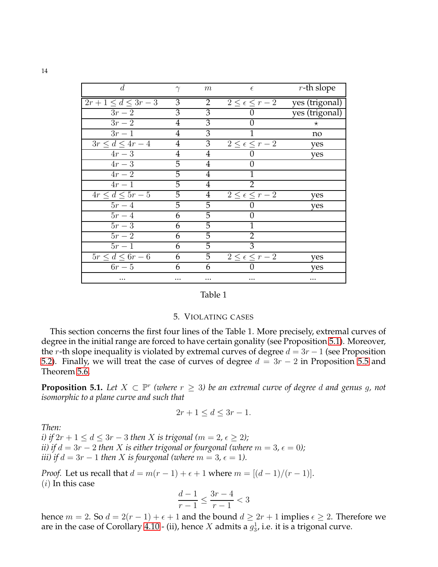| d                                  | $\gamma$       | m               | $\epsilon$                 | $r$ -th slope  |
|------------------------------------|----------------|-----------------|----------------------------|----------------|
| $2r+1 \leq d \leq 3r-3$            | 3              | $\overline{2}$  | $2 \leq \epsilon \leq r-2$ | yes (trigonal) |
| $3r-2$                             | 3              | $\overline{3}$  |                            | yes (trigonal) |
| $3r-2$                             | 4              | 3               | 0                          | $\star$        |
| $3r-1$                             | $\overline{4}$ | 3               |                            | no             |
| $3r \leq d \leq 4r-4$              | 4              | 3               | $2 \leq \epsilon \leq r-2$ | yes            |
| $4r-3$                             | 4              | 4               |                            | yes            |
| $4r-3$                             | 5              | 4               | 0                          |                |
| $4r-2$                             | 5              | $\overline{4}$  |                            |                |
| $4r-1$                             | 5              | $\overline{4}$  | 2                          |                |
| $\overline{4r} \leq d \leq 5r-5$   | 5              | $\overline{4}$  | $2 \leq \epsilon \leq r-2$ | yes            |
| $5r-4$                             | 5              | 5               |                            | yes            |
| $5r-4$                             | 6              | 5               | 0                          |                |
| $5r-3$                             | 6              | 5               | 1                          |                |
| $5r-2$                             | 6              | 5               | 2                          |                |
| $5r-1$                             | 6              | 5               | 3                          |                |
| $\overline{5r} \leq d \leq 6r - 6$ | 6              | $5\overline{)}$ | $2 \leq \epsilon \leq r-2$ | yes            |
| $6r-5$                             | 6              | 6               |                            | yes            |
|                                    | .              |                 |                            |                |

| Table |  |  |
|-------|--|--|
|       |  |  |

#### 5. VIOLATING CASES

<span id="page-13-0"></span>This section concerns the first four lines of the Table 1. More precisely, extremal curves of degree in the initial range are forced to have certain gonality (see Proposition [5.1\)](#page-13-1). Moreover, the r-th slope inequality is violated by extremal curves of degree  $d = 3r - 1$  (see Proposition [5.2\)](#page-14-0). Finally, we will treat the case of curves of degree  $d = 3r - 2$  in Proposition [5.5](#page-14-1) and Theorem [5.6.](#page-15-0)

<span id="page-13-1"></span>**Proposition 5.1.** Let  $X \subset \mathbb{P}^r$  (where  $r \geq 3$ ) be an extremal curve of degree d and genus g, not *isomorphic to a plane curve and such that*

$$
2r + 1 \le d \le 3r - 1.
$$

*Then:*

*i)* if  $2r + 1 \le d \le 3r - 3$  *then X is trigonal*  $(m = 2, \epsilon \ge 2)$ *; ii)* if  $d = 3r - 2$  *then X is either trigonal or fourgonal (where*  $m = 3$ ,  $\epsilon = 0$ ); *iii)* if  $d = 3r - 1$  *then* X *is fourgonal (where*  $m = 3$ ,  $\epsilon = 1$ *).* 

*Proof.* Let us recall that  $d = m(r - 1) + \epsilon + 1$  where  $m = [(d - 1)/(r - 1)]$ .  $(i)$  In this case

$$
\frac{d-1}{r-1} \le \frac{3r-4}{r-1} < 3
$$

hence  $m = 2$ . So  $d = 2(r - 1) + \epsilon + 1$  and the bound  $d \geq 2r + 1$  implies  $\epsilon \geq 2$ . Therefore we are in the case of Corollary [4.10](#page-10-1) - (ii), hence  $X$  admits a  $g_3^1$ , i.e. it is a trigonal curve.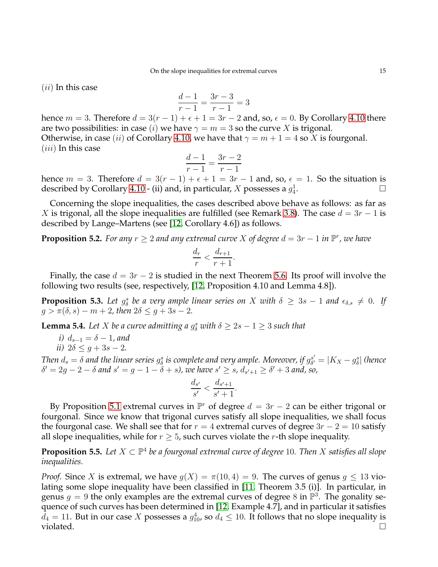$(ii)$  In this case

$$
\frac{d-1}{r-1} = \frac{3r-3}{r-1} = 3
$$

hence  $m = 3$ . Therefore  $d = 3(r - 1) + \epsilon + 1 = 3r - 2$  and, so,  $\epsilon = 0$ . By Corollary [4.10](#page-10-1) there are two possibilities: in case (*i*) we have  $\gamma = m = 3$  so the curve X is trigonal. Otherwise, in case (ii) of Corollary [4.10,](#page-10-1) we have that  $\gamma = m + 1 = 4$  so X is fourgonal.  $(iii)$  In this case

$$
\frac{d-1}{r-1} = \frac{3r-2}{r-1}
$$

hence  $m = 3$ . Therefore  $d = 3(r - 1) + \epsilon + 1 = 3r - 1$  and, so,  $\epsilon = 1$ . So the situation is described by Corollary [4.10](#page-10-1) - (ii) and, in particular,  $X$  possesses a  $g_4^1$ . — Процессиональные продаже продаже на продаже продавать на продаже продавать на продаже на продаже на продаж<br>В продаже продаже продаже продаже продаже продаже продаже продаже продаже продаже продаже продаже продаже прод

Concerning the slope inequalities, the cases described above behave as follows: as far as X is trigonal, all the slope inequalities are fulfilled (see Remark [3.8\)](#page-5-4). The case  $d = 3r - 1$  is described by Lange–Martens (see [\[12,](#page-20-1) Corollary 4.6]) as follows.

<span id="page-14-0"></span>**Proposition 5.2.** For any  $r \geq 2$  and any extremal curve X of degree  $d = 3r - 1$  in  $\mathbb{P}^r$ , we have

$$
\frac{d_r}{r} < \frac{d_{r+1}}{r+1}.
$$

Finally, the case  $d = 3r - 2$  is studied in the next Theorem [5.6.](#page-15-0) Its proof will involve the following two results (see, respectively, [\[12,](#page-20-1) Proposition 4.10 and Lemma 4.8]).

<span id="page-14-2"></span>**Proposition 5.3.** Let  $g^s_\delta$  be a very ample linear series on X with  $\delta \geq 3s - 1$  and  $\epsilon_{\delta,s} \neq 0$ . If  $g > \pi(\delta, s) - m + 2$ , then  $2\delta \leq g + 3s - 2$ .

<span id="page-14-3"></span>**Lemma 5.4.** Let *X* be a curve admitting a  $g^s_\delta$  with  $\delta \geq 2s - 1 \geq 3$  such that

*i*)  $d_{s-1} = \delta - 1$ *, and ii*)  $2\delta \leq g + 3s - 2$ *.* 

Then  $d_s=\delta$  and the linear series  $g^s_\delta$  is complete and very ample. Moreover, if  $g^{s'}_{\delta'}$  $\delta'_{\delta'} = |K_X - g^s_{\delta}|$  (hence  $\delta' = 2g - 2 - \delta$  and  $s' = g - 1 - \delta + s$ ), we have  $s' \geq s$ ,  $d_{s'+1} \geq \delta' + 3$  and, so,

$$
\frac{d_{s'}}{s'} < \frac{d_{s'+1}}{s'+1}.
$$

By Proposition [5.1](#page-13-1) extremal curves in  $\mathbb{P}^r$  of degree  $d = 3r - 2$  can be either trigonal or fourgonal. Since we know that trigonal curves satisfy all slope inequalities, we shall focus the fourgonal case. We shall see that for  $r = 4$  extremal curves of degree  $3r - 2 = 10$  satisfy all slope inequalities, while for  $r \geq 5$ , such curves violate the r-th slope inequality.

<span id="page-14-1"></span>**Proposition 5.5.** Let  $X \subset \mathbb{P}^4$  be a fourgonal extremal curve of degree 10. Then X satisfies all slope *inequalities.*

*Proof.* Since X is extremal, we have  $q(X) = \pi(10, 4) = 9$ . The curves of genus  $q \le 13$  violating some slope inequality have been classified in [\[11,](#page-19-3) Theorem 3.5 (i)]. In particular, in genus  $g = 9$  the only examples are the extremal curves of degree 8 in  $\mathbb{P}^3$ . The gonality sequence of such curves has been determined in [\[12,](#page-20-1) Example 4.7], and in particular it satisfies  $d_4 = 11$ . But in our case X possesses a  $g_{10}^4$ , so  $d_4 \leq 10$ . It follows that no slope inequality is violated.  $\Box$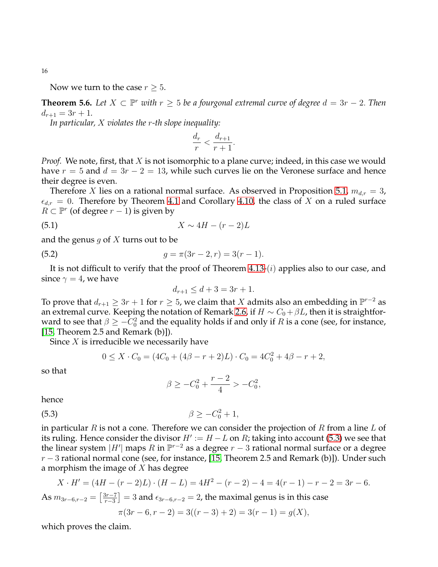16

Now we turn to the case  $r \geq 5$ .

<span id="page-15-0"></span>**Theorem 5.6.** Let  $X \subset \mathbb{P}^r$  with  $r \geq 5$  be a fourgonal extremal curve of degree  $d = 3r - 2$ . Then  $d_{r+1} = 3r + 1.$ 

*In particular,* X *violates the* r*-th slope inequality:*

$$
\frac{d_r}{r} < \frac{d_{r+1}}{r+1}.
$$

*Proof.* We note, first, that X is not isomorphic to a plane curve; indeed, in this case we would have  $r = 5$  and  $d = 3r - 2 = 13$ , while such curves lie on the Veronese surface and hence their degree is even.

Therefore X lies on a rational normal surface. As observed in Proposition [5.1,](#page-13-1)  $m_{dx} = 3$ ,  $\epsilon_{d,r} = 0$ . Therefore by Theorem [4.1](#page-5-1) and Corollary [4.10,](#page-10-1) the class of X on a ruled surface  $R \subset \mathbb{P}^r$  (of degree  $r-1$ ) is given by

$$
(5.1) \t\t X \sim 4H - (r-2)L
$$

and the genus g of X turns out to be

(5.2) 
$$
g = \pi(3r - 2, r) = 3(r - 1).
$$

It is not difficult to verify that the proof of Theorem  $4.13-(i)$  applies also to our case, and since  $\gamma = 4$ , we have

$$
d_{r+1} \le d+3 = 3r+1.
$$

To prove that  $d_{r+1} \geq 3r + 1$  for  $r \geq 5$ , we claim that  $X$  admits also an embedding in  $\mathbb{P}^{r-2}$  as an extremal curve. Keeping the notation of Remark [2.6,](#page-3-3) if  $H \sim C_0 + \beta L$ , then it is straightforward to see that  $\beta \geq -C_0^2$  and the equality holds if and only if  $R$  is a cone (see, for instance, [\[15,](#page-20-3) Theorem 2.5 and Remark  $(b)$ ]).

Since  $X$  is irreducible we necessarily have

$$
0 \le X \cdot C_0 = (4C_0 + (4\beta - r + 2)L) \cdot C_0 = 4C_0^2 + 4\beta - r + 2,
$$

so that

<span id="page-15-1"></span>
$$
\beta \ge -C_0^2 + \frac{r-2}{4} > -C_0^2,
$$

hence

(5.3) 
$$
\beta \ge -C_0^2 + 1,
$$

in particular R is not a cone. Therefore we can consider the projection of R from a line L of its ruling. Hence consider the divisor  $H' := H - L$  on R; taking into account [\(5.3\)](#page-15-1) we see that the linear system  $|H'|$  maps  $R$  in  $\mathbb{P}^{r-2}$  as a degree  $r-3$  rational normal surface or a degree  $r-3$  rational normal cone (see, for instance, [\[15,](#page-20-3) Theorem 2.5 and Remark (b)]). Under such a morphism the image of  $X$  has degree

$$
X \cdot H' = (4H - (r - 2)L) \cdot (H - L) = 4H^2 - (r - 2) - 4 = 4(r - 1) - r - 2 = 3r - 6.
$$
  
As  $m_{3r-6,r-2} = \left[\frac{3r-7}{r-3}\right] = 3$  and  $\epsilon_{3r-6,r-2} = 2$ , the maximal genus is in this case  
 $\pi(3r - 6, r - 2) = 3((r - 3) + 2) = 3(r - 1) = g(X),$ 

which proves the claim.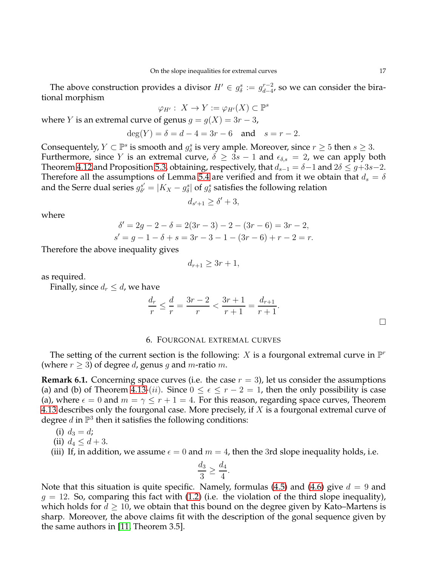The above construction provides a divisor  $H' \in g_{\delta}^s := g_{d-4}^{r-2}$  $_{d-4}^{r-2}$ , so we can consider the birational morphism

$$
\varphi_{H'}:\ X\to Y:=\varphi_{H'}(X)\subset\mathbb{P}^s
$$

where *Y* is an extremal curve of genus  $g = g(X) = 3r - 3$ ,

$$
deg(Y) = \delta = d - 4 = 3r - 6
$$
 and  $s = r - 2$ .

Consequentely,  $Y \subset \mathbb{P}^s$  is smooth and  $g^s_\delta$  is very ample. Moreover, since  $r \geq 5$  then  $s \geq 3$ . Furthermore, since Y is an extremal curve,  $\delta \geq 3s - 1$  and  $\epsilon_{\delta,s} = 2$ , we can apply both Theorem [4.12](#page-10-3) and Proposition [5.3,](#page-14-2) obtaining, respectively, that  $d_{s-1} = \delta - 1$  and  $2\delta \leq g+3s-2$ . Therefore all the assumptions of Lemma [5.4](#page-14-3) are verified and from it we obtain that  $d_s = \delta$ and the Serre dual series  $g_{\delta'}^{s'}$  $\delta_\delta^{s'}=|K_X-g^s_\delta|$  of  $g^s_\delta$  satisfies the following relation

$$
d_{s'+1} \ge \delta' + 3,
$$

where

$$
\delta' = 2g - 2 - \delta = 2(3r - 3) - 2 - (3r - 6) = 3r - 2,
$$
  
\n
$$
s' = g - 1 - \delta + s = 3r - 3 - 1 - (3r - 6) + r - 2 = r.
$$

Therefore the above inequality gives

$$
d_{r+1} \ge 3r+1,
$$

as required.

Finally, since  $d_r \leq d$ , we have

$$
\frac{d_r}{r} \le \frac{d}{r} = \frac{3r-2}{r} < \frac{3r+1}{r+1} = \frac{d_{r+1}}{r+1}.
$$

#### 6. FOURGONAL EXTREMAL CURVES

<span id="page-16-0"></span>The setting of the current section is the following: X is a fourgonal extremal curve in  $\mathbb{P}^r$ (where  $r \geq 3$ ) of degree d, genus g and m-ratio m.

**Remark 6.1.** Concerning space curves (i.e. the case  $r = 3$ ), let us consider the assumptions (a) and (b) of Theorem [4.13-](#page-10-0)(*ii*). Since  $0 \le \epsilon \le r - 2 = 1$ , then the only possibility is case (a), where  $\epsilon = 0$  and  $m = \gamma \le r + 1 = 4$ . For this reason, regarding space curves, Theorem [4.13](#page-10-0) describes only the fourgonal case. More precisely, if  $X$  is a fourgonal extremal curve of degree  $d$  in  $\mathbb{P}^3$  then it satisfies the following conditions:

- (i)  $d_3 = d$ ;
- (ii)  $d_4 \leq d + 3$ .
- (iii) If, in addition, we assume  $\epsilon = 0$  and  $m = 4$ , then the 3rd slope inequality holds, i.e.

$$
\frac{d_3}{3} \ge \frac{d_4}{4}.
$$

Note that this situation is quite specific. Namely, formulas [\(4.5\)](#page-10-4) and [\(4.6\)](#page-10-5) give  $d = 9$  and  $g = 12$ . So, comparing this fact with [\(1.2\)](#page-1-0) (i.e. the violation of the third slope inequality), which holds for  $d \geq 10$ , we obtain that this bound on the degree given by Kato–Martens is sharp. Moreover, the above claims fit with the description of the gonal sequence given by the same authors in [\[11,](#page-19-3) Theorem 3.5].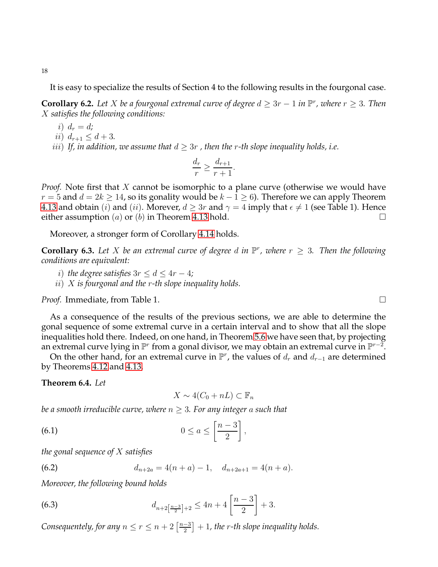It is easy to specialize the results of Section 4 to the following results in the fourgonal case.

<span id="page-17-3"></span>**Corollary 6.2.** Let *X* be a fourgonal extremal curve of degree  $d \geq 3r - 1$  in  $\mathbb{P}^r$ , where  $r \geq 3$ . Then X *satisfies the following conditions:*

- i)  $d_r = d$ ;
- ii)  $d_{r+1} \leq d+3$ .
- *iii*) If, in addition, we assume that  $d \geq 3r$ , then the r-th slope inequality holds, i.e.

$$
\frac{d_r}{r} \ge \frac{d_{r+1}}{r+1}.
$$

*Proof.* Note first that X cannot be isomorphic to a plane curve (otherwise we would have  $r = 5$  and  $d = 2k \ge 14$ , so its gonality would be  $k - 1 \ge 6$ ). Therefore we can apply Theorem [4.13](#page-10-0) and obtain (*i*) and (*ii*). Morever,  $d \geq 3r$  and  $\gamma = 4$  imply that  $\epsilon \neq 1$  (see Table 1). Hence either assumption  $(a)$  or  $(b)$  in Theorem [4.13](#page-10-0) hold.

Moreover, a stronger form of Corollary [4.14](#page-12-0) holds.

**Corollary 6.3.** Let X be an extremal curve of degree d in  $\mathbb{P}^r$ , where  $r \geq 3$ . Then the following *conditions are equivalent:*

- *i*) *the degree satisfies*  $3r \leq d \leq 4r 4$ *;*
- ii) X *is fourgonal and the* r*-th slope inequality holds.*

*Proof.* Immediate, from Table 1. □

As a consequence of the results of the previous sections, we are able to determine the gonal sequence of some extremal curve in a certain interval and to show that all the slope inequalities hold there. Indeed, on one hand, in Theorem [5.6](#page-15-0) we have seen that, by projecting an extremal curve lying in  $\mathbb{P}^r$  from a gonal divisor, we may obtain an extremal curve in  $\mathbb{P}^{r-2}.$ 

On the other hand, for an extremal curve in  $\mathbb{P}^r$ , the values of  $d_r$  and  $d_{r-1}$  are determined by Theorems [4.12](#page-10-3) and [4.13.](#page-10-0)

<span id="page-17-0"></span>**Theorem 6.4.** *Let*

<span id="page-17-2"></span><span id="page-17-1"></span>
$$
X \sim 4(C_0 + nL) \subset \mathbb{F}_n
$$

*be a smooth irreducible curve, where* n ≥ 3*. For any integer* a *such that*

$$
(6.1) \t\t 0 \le a \le \left[\frac{n-3}{2}\right],
$$

*the gonal sequence of* X *satisfies*

(6.2) 
$$
d_{n+2a} = 4(n+a) - 1, \quad d_{n+2a+1} = 4(n+a).
$$

*Moreover, the following bound holds*

<span id="page-17-4"></span>(6.3) 
$$
d_{n+2\left[\frac{n-3}{2}\right]+2} \leq 4n+4\left[\frac{n-3}{2}\right]+3.
$$

*Consequentely, for any*  $n \leq r \leq n+2\left\lceil \frac{n-3}{2} \right\rceil$  $\left[\frac{-3}{2}\right]+1$ , the r-th slope inequality holds.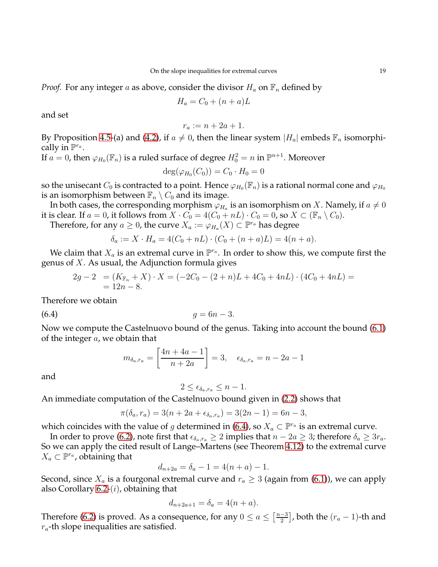*Proof.* For any integer a as above, consider the divisor  $H_a$  on  $\mathbb{F}_n$  defined by

$$
H_a = C_0 + (n+a)L
$$

and set

$$
r_a := n + 2a + 1.
$$

By Proposition [4.5-](#page-6-0)(a) and [\(4.2\)](#page-8-1), if  $a \neq 0$ , then the linear system  $|H_a|$  embeds  $\mathbb{F}_n$  isomorphically in  $\mathbb{P}^{r_a}$ .

If  $a = 0$ , then  $\varphi_{H_0}(\mathbb{F}_n)$  is a ruled surface of degree  $H_0^2 = n$  in  $\mathbb{P}^{n+1}$ . Moreover

$$
\deg(\varphi_{H_0}(C_0))=C_0\cdot H_0=0
$$

so the unisecant  $C_0$  is contracted to a point. Hence  $\varphi_{H_0}(\mathbb{F}_n)$  is a rational normal cone and  $\varphi_{H_0}$ is an isomorphism between  $\mathbb{F}_n \setminus C_0$  and its image.

In both cases, the corresponding morphism  $\varphi_{H_a}$  is an isomorphism on  $X.$  Namely, if  $a\neq 0$ it is clear. If  $a = 0$ , it follows from  $X \cdot C_0 = 4(C_0 + nL) \cdot C_0 = 0$ , so  $X \subset (\mathbb{F}_n \setminus C_0)$ .

Therefore, for any  $a\geq 0$ , the curve  $X_a:=\varphi_{H_a}(X)\subset\mathbb P^{r_a}$  has degree

$$
\delta_a := X \cdot H_a = 4(C_0 + nL) \cdot (C_0 + (n+a)L) = 4(n+a).
$$

We claim that  $X_a$  is an extremal curve in  $\mathbb{P}^{r_a}$ . In order to show this, we compute first the genus of  $X$ . As usual, the Adjunction formula gives

$$
2g - 2 = (K_{\mathbb{F}_n} + X) \cdot X = (-2C_0 - (2+n)L + 4C_0 + 4nL) \cdot (4C_0 + 4nL) =
$$
  
= 12n - 8.

Therefore we obtain

of the integer  $a$ , we obtain that

(6.4)  $g = 6n - 3$ .

Now we compute the Castelnuovo bound of the genus. Taking into account the bound [\(6.1\)](#page-17-1)

$$
m_{\delta_a, r_a} = \left[ \frac{4n + 4a - 1}{n + 2a} \right] = 3, \quad \epsilon_{\delta_a, r_a} = n - 2a - 1
$$

and

<span id="page-18-0"></span>
$$
2 \leq \epsilon_{\delta_a, r_a} \leq n - 1.
$$

An immediate computation of the Castelnuovo bound given in [\(2.2\)](#page-3-1) shows that

$$
\pi(\delta_a, r_a) = 3(n + 2a + \epsilon_{\delta_a, r_a}) = 3(2n - 1) = 6n - 3,
$$

which coincides with the value of  $g$  determined in [\(6.4\)](#page-18-0), so  $X_a\subset\mathbb P^{r_a}$  is an extremal curve.

In order to prove [\(6.2\)](#page-17-2), note first that  $\epsilon_{\delta_a,r_a} \geq 2$  implies that  $n - 2a \geq 3$ ; therefore  $\delta_a \geq 3r_a$ . So we can apply the cited result of Lange–Martens (see Theorem [4.12\)](#page-10-3) to the extremal curve  $X_a \subset \mathbb{P}^{r_a}$ , obtaining that

$$
d_{n+2a} = \delta_a - 1 = 4(n+a) - 1.
$$

Second, since  $X_a$  is a fourgonal extremal curve and  $r_a \geq 3$  (again from [\(6.1\)](#page-17-1)), we can apply also Corollary  $6.2-(i)$ , obtaining that

$$
d_{n+2a+1} = \delta_a = 4(n+a).
$$

Therefore [\(6.2\)](#page-17-2) is proved. As a consequence, for any  $0 \le a \le \left\lceil \frac{n-3}{2} \right\rceil$  $\left[\frac{-3}{2}\right]$ , both the  $(r_a-1)$ -th and  $r_a$ -th slope inequalities are satisfied.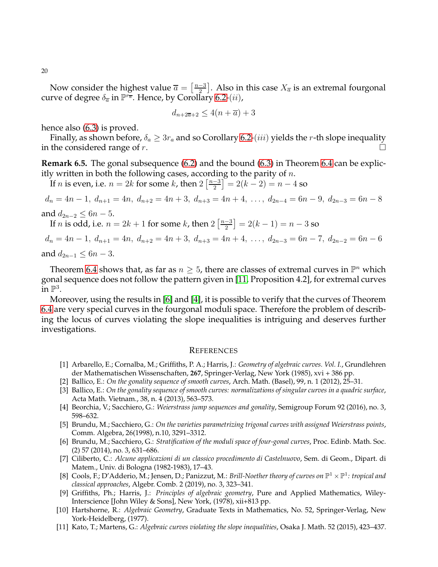20

Now consider the highest value  $\overline{a} = \left[\frac{n-3}{2}\right]$  $\frac{-3}{2}$ ]. Also in this case  $X_{\overline{a}}$  is an extremal fourgonal curve of degree  $\delta_{\overline{a}}$  in  $\mathbb{P}^{\widetilde{\mathsf{r}_{\overline{a}}}}.$  Hence, by Corollary [6.2-](#page-17-3) $(ii)$ ,

$$
d_{n+2\overline{a}+2} \le 4(n+\overline{a})+3
$$

hence also [\(6.3\)](#page-17-4) is proved.

Finally, as shown before,  $\delta_a \geq 3r_a$  and so Corollary [6.2-](#page-17-3)(*iii*) yields the *r*-th slope inequality in the considered range of r.

**Remark 6.5.** The gonal subsequence [\(6.2\)](#page-17-2) and the bound [\(6.3\)](#page-17-4) in Theorem [6.4](#page-17-0) can be explicitly written in both the following cases, according to the parity of  $n$ .

If *n* is even, i.e.  $n = 2k$  for some *k*, then  $2\left\lceil \frac{n-3}{2} \right\rceil$  $\left[\frac{-3}{2}\right] = 2(k-2) = n-4$  so

$$
d_n = 4n - 1, d_{n+1} = 4n, d_{n+2} = 4n + 3, d_{n+3} = 4n + 4, \ldots, d_{2n-4} = 6n - 9, d_{2n-3} = 6n - 8
$$

and  $d_{2n-2} \leq 6n-5$ .

If *n* is odd, i.e.  $n = 2k + 1$  for some *k*, then  $2\left\lceil \frac{n-3}{2} \right\rceil$  $\left[\frac{-3}{2}\right] = 2(k-1) = n-3$  so

 $d_n = 4n - 1$ ,  $d_{n+1} = 4n$ ,  $d_{n+2} = 4n + 3$ ,  $d_{n+3} = 4n + 4$ , ...,  $d_{2n-3} = 6n - 7$ ,  $d_{2n-2} = 6n - 6$ and  $d_{2n-1}$  ≤ 6n − 3.

Theorem [6.4](#page-17-0) shows that, as far as  $n \geq 5$ , there are classes of extremal curves in  $\mathbb{P}^n$  which gonal sequence does not follow the pattern given in [\[11,](#page-19-3) Proposition 4.2], for extremal curves in  $\mathbb{P}^3$ .

Moreover, using the results in [\[6\]](#page-19-9) and [\[4\]](#page-19-10), it is possible to verify that the curves of Theorem [6.4](#page-17-0) are very special curves in the fourgonal moduli space. Therefore the problem of describing the locus of curves violating the slope inequalities is intriguing and deserves further investigations.

### <span id="page-19-0"></span>**REFERENCES**

- <span id="page-19-5"></span>[1] Arbarello, E.; Cornalba, M.; Griffiths, P. A.; Harris, J.: *Geometry of algebraic curves. Vol. I.*, Grundlehren der Mathematischen Wissenschaften, **267**, Springer-Verlag, New York (1985), xvi + 386 pp.
- <span id="page-19-2"></span><span id="page-19-1"></span>[2] Ballico, E.: *On the gonality sequence of smooth curves*, Arch. Math. (Basel), 99, n. 1 (2012), 25–31.
- [3] Ballico, E.: *On the gonality sequence of smooth curves: normalizations of singular curves in a quadric surface*, Acta Math. Vietnam., 38, n. 4 (2013), 563–573.
- <span id="page-19-10"></span><span id="page-19-8"></span>[4] Beorchia, V.; Sacchiero, G.: *Weierstrass jump sequences and gonality*, Semigroup Forum 92 (2016), no. 3, 598–632.
- [5] Brundu, M.; Sacchiero, G.: *On the varieties parametrizing trigonal curves with assigned Weierstrass points*, Comm. Algebra, 26(1998), n.10, 3291–3312.
- <span id="page-19-9"></span>[6] Brundu, M.; Sacchiero, G.: *Stratification of the moduli space of four-gonal curves*, Proc. Edinb. Math. Soc. (2) 57 (2014), no. 3, 631–686.
- <span id="page-19-6"></span>[7] Ciliberto, C.: *Alcune applicazioni di un classico procedimento di Castelnuovo*, Sem. di Geom., Dipart. di Matem., Univ. di Bologna (1982-1983), 17–43.
- <span id="page-19-4"></span>[8] Cools, F.; D'Adderio, M.; Jensen, D.; Panizzut, M.: *Brill-Noether theory of curves on*  $\mathbb{P}^1 \times \mathbb{P}^1$ : tropical and *classical approaches*, Algebr. Comb. 2 (2019), no. 3, 323–341.
- [9] Griffiths, Ph.; Harris, J.: *Principles of algebraic geometry*, Pure and Applied Mathematics, Wiley-Interscience [John Wiley & Sons], New York, (1978), xii+813 pp.
- <span id="page-19-7"></span>[10] Hartshorne, R.: *Algebraic Geometry*, Graduate Texts in Mathematics, No. 52, Springer-Verlag, New York-Heidelberg, (1977).
- <span id="page-19-3"></span>[11] Kato, T.; Martens, G.: *Algebraic curves violating the slope inequalities*, Osaka J. Math. 52 (2015), 423–437.